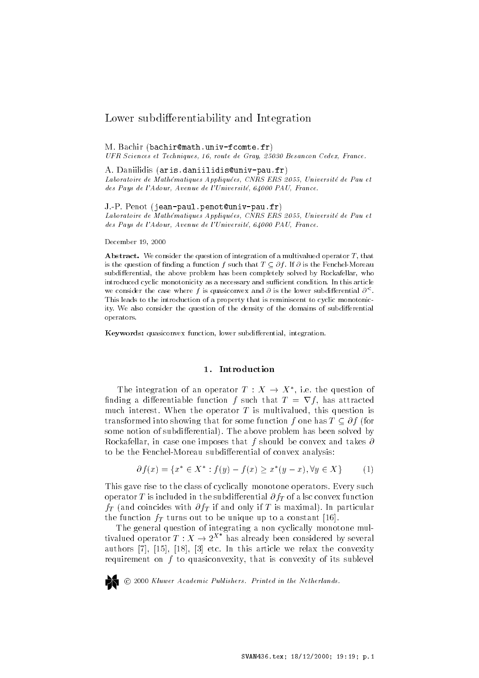# Lower subdi-erentiability and Integration

### m- and mathematic bachine and a series of the state of the state of the state of the state of the state of the

UFR Sciences et Techniques- - route de Gray- Besancon Cedex- France 

A- Daniilidis arisdaniilidis-univpaufr ematiques appliques appliques appliques appliques appliques and the contract of the Pauli and the Co des Pays de la dominación de la pays de la pays de la pays de la pays de la pays de la pays de la pays de la p

J-P- Penot jeanpaulpenot-univpaufr

Laboratoire de Math ematiques Appliqu ees- CNRS ERS - Universit e de Pau et des en de la dominister de la doministe de la doministe de la doministe de la doministe de la doministe de la

december - December - December - December - December - December - December - December - December - December -

Abstract- We consider the question of integration of a multivalued operator <sup>T</sup> that is the question of naturally standards f such that T  $\sim$  1  $\sim$  1  $\sim$  1  $\sim$  1  $\sim$  1  $\sim$  1  $\sim$ subdi erential the above problem has been completely solved by Rockafellar who introduced cyclic monotonicity as a necessary and sufficient condition. In this article we consider the case where f is quasiconvex and  $\sigma$  is the lower subdifferential  $\sigma$  . This leads to the introduction of a property that is reminiscent to cyclic monotonic ity We also consider the question of the density of the domains of subdi erential operators

Keywords quasiconvex function lower subdi erential integration

### 1. Introduction

The integration of an operator  $T: X \rightarrow X^*$ , i.e. the question of finding a differentiable function f such that  $T = \nabla f$ , has attracted much interest- This case operator T is multivaled this question is transformed into showing that for some function f one has  $T \subset \partial f$  (for some notion of subdivision of subdivision of subdivision of subdivision  $\mathbf{I}$ Rockafellar, in case one imposes that f should be convex and takes  $\partial$ to be the Fenchel-Moreau subdifferential of convex analysis:

$$
\partial f(x) = \{ x^* \in X^* : f(y) - f(x) \ge x^*(y - x), \forall y \in X \}
$$
(1)

This gave rise to the class of cyclically monotone operators- Every such  $\mathcal{L}_{\mathcal{P}}$  or a let  $\mathcal{L}_{\mathcal{P}}$  is a local -  $\mathcal{L}_{\mathcal{P}}$  of  $\mathcal{L}_{\mathcal{P}}$  . The substitution of  $\mathcal{L}_{\mathcal{P}}$  $f_{II}$  (which coincides with  $\sigma f_{II}$  if which only if  $\pm$  -is maximum, fin particular the function  $f_T$  turns out to be unique up to a constant [16].

The general question of integrating a non cyclically monotone mul tivalued operator  $T: X \to 2^{X^*}$  has already been considered by several authors in the first state was are an interest article we relate the convexity of the contract of the convexity requirement on  $f$  to quasiconvexity, that is convexity of its sublevel

-<sup>c</sup> Kluwer Academic Publishers Printed in the Netherlands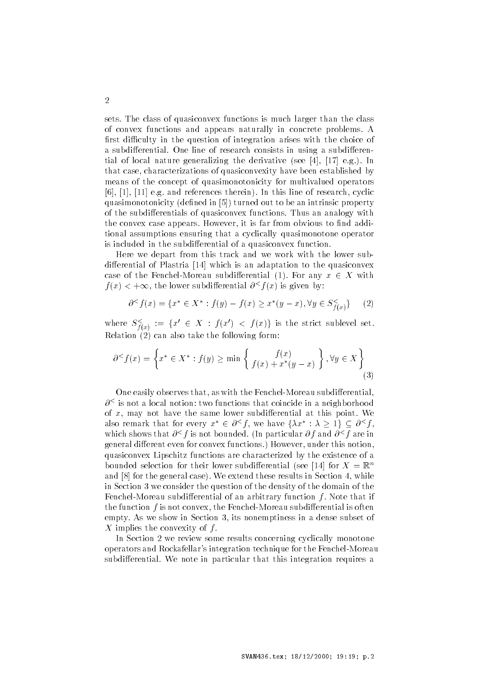sets-class of  $\eta$  and the class of the class of  $\eta$  ,  $\eta$  and  $\eta$ of convex functions and appears naturally in concrete problems- A first difficulty in the question of integration arises with the choice of a subdivision of  $\mathbf{A}$ tial of the motion of growing the derivative sees the set of the second the seed of the second second the second of  $\mathcal{S}$ that case, characterizations of quasiconvexity have been established by means of the concept of quasimonotonicity for multivalued operators e-line in the ferrence three contracts there is a referred there is a referred to the contract of research cyclic quasimonotonicity (defined in [5]) turned out to be an intrinsic property  $\mathcal{L}$  the subdivision of quasiconvex functions  $\mathcal{L}$  and  $\mathcal{L}$ the convex case appears- it is far from obvious to non-terminal properties appears- it is far from obvious to n tional assumptions ensuring that a cyclically quasimonotone operator is included in the subdifferential of a quasiconvex function.

Here we depart from this track and we work with the lower sub differential of Plastria [14] which is an adaptation to the quasiconvex case of the Fenchel-Moreau subdifferential (1). For any  $x \in X$  with  $f(x) < +\infty$ , the lower subdifferential  $\partial^{\lt} f(x)$  is given by:

$$
\partial^{\leq} f(x) = \{ x^* \in X^* : f(y) - f(x) \geq x^*(y - x), \forall y \in S_{f(x)}^{\leq} \} \tag{2}
$$

where  $S_{f(x)}^{\lt} := \{x' \in X : f(x') \lt f(x)\}$  is the strict sublevel set. Relation  $(2)$  can also take the following form:

$$
\partial^{\leq} f(x) = \left\{ x^* \in X^* : f(y) \geq \min \left\{ \begin{array}{c} f(x) \\ f(x) + x^*(y - x) \end{array} \right\}, \forall y \in X \right\}
$$
(3)

One easily observes that, as with the Fenchel-Moreau subdifferential,  $\sigma$   $^{\circ}$  is not a local notion: two functions that coincide in a neighborhood of w; may not have the same lower subdimental at this point. He also remark that for every  $x^* \in \partial^{\leq} f$ , we have  $\{\lambda x^* : \lambda > 1\} \subseteq \partial^{\leq} f$ , a a neighborhood<br>t this point. We<br>:  $\lambda > 1$   $\subset \partial^{\leq} f$ . which shows that  $\theta \restriction I$  is not bounded. The particular  $\theta \restriction$  and  $\theta \restriction I$  are in  $\mathbf{H}$ quasiconvex Lipschitz functions are characterized by the existence of a bounded selection for their lower subdifferential (see [14] for  $X = \mathbb{R}^n$ and the form the general case, which there is no section in Section 1, while the in Section 3 we consider the question of the density of the domain of the FenchelMoreau subdi erential of an arbitrary function <sup>f</sup> - Note that if the function  $f$  is not convex, the Fenchel-Moreau subdifferential is often empty- As we show in Section its nonemptiness in a dense subset of X implies the convexity of <sup>f</sup> -

In Section 2 we review some results concerning cyclically monotone operators and Rockafellar's integration technique for the Fenchel-Moreau subdividerent in particular that the mass of  $\alpha$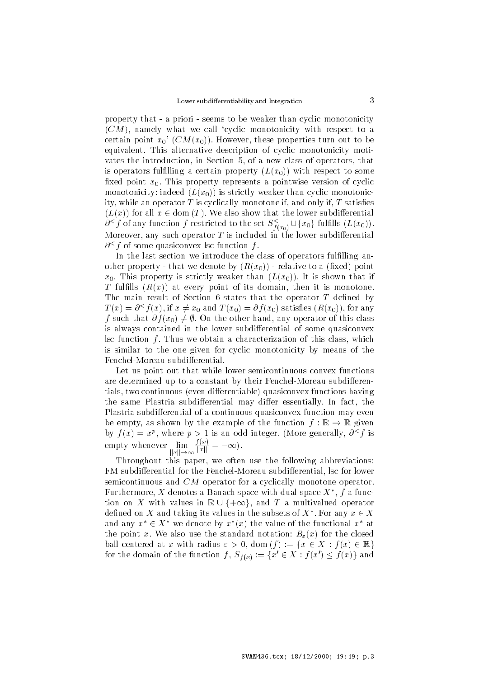property that - a priori - seems to be weaker than cyclic monotonicity  $(CM)$ , namely what we call 'cyclic monotonicity with respect to a certain point x CMx- However these properties turn out to be equivalent- This alternative description of cyclic monotonicity moti vates the introduction, in Section 5, of a new class of operators, that is operators fulfilling a certain property  $(L(x_0))$  with respect to some mica point which represents a point wise version or cyclic monotonicity: indeed  $(L(x_0))$  is strictly weaker than cyclic monotonicity, while an operator  $T$  is cyclically monotone if, and only if,  $T$  satisfies  $(L(x))$  for all  $x \in$  dom  $(T)$ . We also show that the lower subdifferential ity, while an operator T is cyclically monotone if, and only if, T satisfies  $(L(x))$  for all  $x \in \text{dom}(T)$ . We also show that the lower subdifferential  $\partial^{\leq} f$  of any function f restricted to the set  $S_{f(x_0)}^{\leq} \cup \{x_0\$ Moreover, any such operator T is included in the lower subdifferential  $\sigma$   $\rightarrow$  f of some quasiconvex isc function f.

In the last section we introduce the class of operators fulfilling another property - that we denote by  $(R(x_0))$  - relative to a (fixed) point which is property is strictly weaker than  $\{ \omega_{ij} \}$ , is is shown that if  $\mathbf{r}$  fulling (reflect) we every point of its domain, then it is monotone-The main result of Section 6 states that the operator  $T$  defined by  $T(x) = \partial^{\leq} f(x)$ , if  $x \neq x_0$  and  $T(x_0) = \partial f(x_0)$  satisfies  $(R(x_0))$ , for any f such that  $\partial f(x_0) \neq \emptyset$ . On the other hand, any operator of this class is always contained in the lower subdifferential of some quasiconvex lsc function f - films we obtain a characterization of this class, which is similar to the one given for cyclic monotonicity by means of the Fenchel-Moreau subdifferential.

Let us point out that while lower semicontinuous convex functions are determined up to a constant by their Fenchel-Moreau subdifferentials, two continuous (even differentiable) quasiconvex functions having the same Plastria subdividual material material material material material material material Plastria subdifferential of a continuous quasiconvex function may even be empty, as shown by the example of the function  $f : \mathbb{R} \to \mathbb{R}$  given by  $f(x) = x^r$ , where  $p > 1$  is an odd integer. (More generally,  $\theta \gamma f$  is empty whenever  $||x|| \rightarrow \infty$   $||x||$  $\frac{f(x)}{\|x\|} = -\infty.$ 

Throughout this paper, we often use the following abbreviations: FM subdifferential for the Fenchel-Moreau subdifferential, lsc for lower semicontinuous and  $CM$  operator for a cyclically monotone operator. Furthermore,  $\Lambda$  denotes a Banach space with dual space  $\Lambda$  ,  $\mu$  a funcsemicontinuous and *CM* operator for a cyclically monotone operator.<br>Furthermore, *X* denotes a Banach space with dual space  $X^*$ , *f* a function on *X* with values in  $\mathbb{R} \cup \{+\infty\}$ , and *T* a multivalued operator defined on X and taking its values in the subsets of  $X^*$ . For any  $x \in X$ and any  $x^* \in X^*$  we denote by  $x^*(x)$  the value of the functional  $x^*$  at the point words the standard notation Bx for the closed ball centered at x with radius  $\varepsilon > 0$ , dom  $(f) := \{x \in X : f(x) \in \mathbb{R}\}\$ for the domain of the function  $f, S_{f(x)} := \{x' \in X : f(x') \leq f(x)\}\)$  and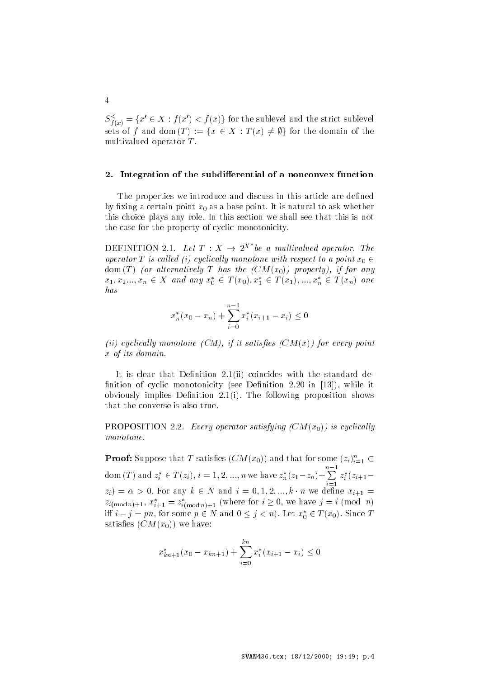$S^{\leq}_{f(x)} = \{x' \in X : f(x') < f(x)\}$  for the sublevel and the strict sublevel sets of f and dom  $(T) := \{x \in X : T(x) \neq \emptyset\}$  for multivalued operator  $T$ .

### $2.$ Integration of the subdifferential of a nonconvex function

The properties we introduce and discuss in this article are defined  $\mathcal{L}_{\mathcal{I}}$  in the  $\mathcal{I}_{\mathcal{I}}$  as a subsequence of  $\mathcal{I}_{\mathcal{I}}$  as a base pointer to is natural to ask whether this choice plays any role- In this section we shall see that this is not the case for the property of cyclic monotonicity-

DEFINITION 2.1. Let  $T : X \rightarrow 2^{X^*}$  be a multivalued operator. The operator T is called (i) cyclically monotone with respect to a point  $x_0 \in$ dom (T) (or alternatively T has the  $(CM(x_0))$  property), if for any  $x_1, x_2, ..., x_n \in X$  and any  $x_0^* \in T(x_0), x_1^* \in T(x_1), ..., x_n^* \in T(x_n)$  one has

$$
x_n^*(x_0 - x_n) + \sum_{i=0}^{n-1} x_i^*(x_{i+1} - x_i) \le 0
$$

(ii) cyclically monotone (CM), if it satisfies  $(CM(x))$  for every point x of its distribution

It is clear that Denition -ii coincides with the standard de nition of cyclic monotonicity see Denition - in the cyclic monotonicity see Denition - in the cyclic monotonic obviously implies Denition -i- The following proposition shows that the converse is also true-

PROPOSITION -- Every operator satisfying CMx is cyclical ly monotone.

**Proof:** Suppose that  $T$  satisfies  $(CM(x_0))$  and that for some  $(z_i)_{i=1}^n \subset T$ dom (T) and  $z_i^* \in T(z_i)$ ,  $i = 1, 2, ..., n$  we have  $z_n^*(z_1 - z_n) + \sum_{i=1}^{n} z_i^*$ i and in the contract of the contract of the contract of the contract of the contract of the contract of the contract of the contract of the contract of the contract of the contract of the contract of the contract of the c  $z_i^*(z_{i+1}$  $z_i$  =  $\alpha > 0$ . For any  $k \in N$  and  $i = 0, 1, 2, ..., k \cdot n$  we define  $x_{i+1} =$  $z_{i(\text{mod }n)+1}$ ,  $x_{i+1}^* = z_{i(\text{mod }n)+1}^*$  (where for  $i \ge 0$ , we have  $j = i \pmod{n}$ )<br>iff  $i - j = pn$ , for some  $p \in N$  and  $0 \le j < n$ ). Let  $x_0^* \in T(x_0)$ . Since T satisfies  $(CM(x_0))$  we have:

$$
x_{kn+1}^*(x_0 - x_{kn+1}) + \sum_{i=0}^{kn} x_i^*(x_{i+1} - x_i) \le 0
$$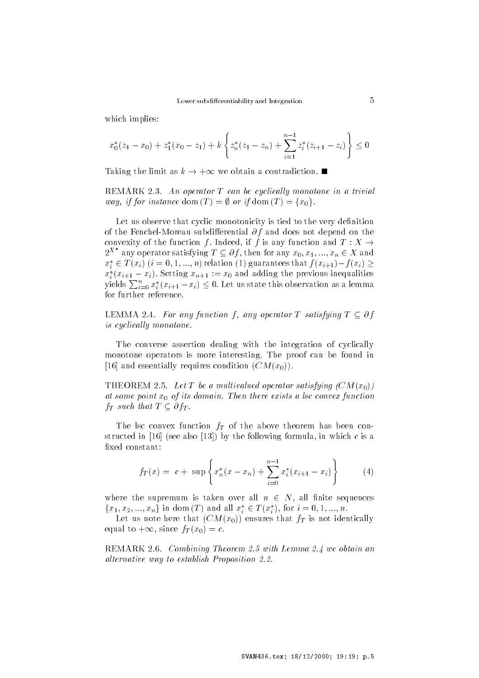which implies

$$
x_0^*(z_1 - x_0) + z_1^*(x_0 - z_1) + k \left\{ z_n^*(z_1 - z_n) + \sum_{i=1}^{n-1} z_i^*(z_{i+1} - z_i) \right\} \le 0
$$

Taking the limit as  $k \to +\infty$  we obtain a contradiction.

remark that we can be comed to a through the control of the control of the control of the control of the control of the control of the control of the control of the control of the control of the control of the control of t way, if for instance dom  $(T) = \emptyset$  or if dom  $(T) = \{x_0\}.$ 

Let us observe that cyclic monotonicity is tied to the very definition of the fencher more was differential of white above not depend on the convexity of the function f. Indeed, if f is any function and  $T: X \rightarrow$  $2^{X^*}$  any operator satisfying  $T \subseteq \partial f$ , then for any  $x_0, x_1, ..., x_n \in X$  and  $x_i^* \in T(x_i)$   $(i = 0, 1, ..., n)$  relation  $(1)$  guarantees that  $f(x_{i+1})-f(x_i) \geq 0$  $x_i^*(x_{i+1} - x_i)$ . Setting  $x_{n+1} := x_0$  and adding the previous inequalities yields  $\sum_{i=0}^n x_i^*(x_{i+1}-x_i) \leq 0$ . Let us state this observation as a lemma for further reference.

LEMMA 2.4. For any function f, any operator T satisfying  $T \subset \partial f$ is cyclically monotone.

The converse assertion dealing with the integration of cyclically monotone operators in more cannoning-proof proof can be found in [16] and essentially requires condition  $(CM(x_0))$ .

 $\mathcal{L}$  and  $\mathcal{L}$  are a multipally satisfying  $\mathcal{L}$  . The  $\mathcal{L}$ at some point w<sub>o</sub> of the asmann-then there exists a lss someow function  $f_T$  such that  $T \subseteq \partial f_T$ .

The lsc convex function  $f_T$  of the above theorem has been constructed in  $[16]$  (see also  $[13]$ ) by the following formula, in which c is a fixed constant:

$$
f_T(x) = c + \sup \left\{ x_n^*(x - x_n) + \sum_{i=0}^{n-1} x_i^*(x_{i+1} - x_i) \right\} \tag{4}
$$

where the supremum is taken over all  $n \in N$ , all finite sequences  ${x_1, x_2, ..., x_n}$  in dom  $(T)$  and all  $x_i^* \in T(x_i^*)$ , for  $i = 0, 1, ..., n$ .

Let us note here that  $(CM(x_0))$  ensures that  $f_T$  is not identically equal to  $+\infty$ , since  $f_T(x_0) = c$ .

remark and the computation of the computation of the computation and the computation of the computation of the alternative way to establish Proposition - Internative State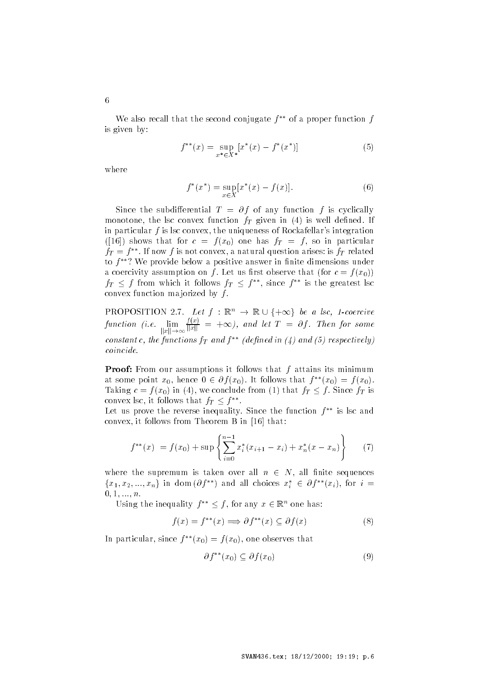We also recall that the second conjugate  $f^{**}$  of a proper function  $f$ is given by

$$
f^{**}(x) = \sup_{x^* \in X^*} [x^*(x) - f^*(x^*)]
$$
 (5)

where

$$
f^*(x^*) = \sup_{x \in X} [x^*(x) - f(x)].
$$
\n(6)

 $\mathcal{S}$  and subdimension  $\mathcal{I}$  of  $\mathcal{I}$  is any function for  $\mathcal{I}$  is cyclically  $\mathbf{m}$  and  $\mathbf{m}$  is the convex function  $\mathbf{r}$  is  $\mathbf{r}$  and  $\mathbf{r}$  is well defined. If in particular  $f$  is lsc convex, the uniqueness of Rockafellar's integration  $f(x)$  and the function  $f(x)$  one has  $f(x)$  and  $f(x)$  are in particular  $f_T = f$  . If now f is not convex, a natural question arises: is  $f_T$  related to <sup>f</sup> We provide below a positive answer in nite dimensions under  $\alpha$  coercivity assumption on  $f$  . Here us more visitive that  $\alpha$  is  $f(\alpha|f)$  $f_T \leq f$  from which it follows  $f_T \leq f^{**}$ , since  $f^{**}$  is the greatest lsc convex function majorized by  $f$ . convex function majorized by  $f$ .<br>
PROPOSITION 2.7. Let  $f : \mathbb{R}^n \to \mathbb{R} \cup \{+\infty\}$  be a lsc, 1

 $\frac{f(x)}{||x||}$  =  $+\infty$ ), and let T =  $\partial f$ . Then for some  $\|x\| \to \infty$   $\|x\|$ constant c, the functions  $f_T$  and  $f^{**}$  (defined in (4) and (5) respectively) *coincide.* 

**Proof:** From our assumptions it follows that  $f$  attains its minimum at some point  $x_0$ , hence  $0 \in \partial f(x_0)$ . It follows that  $f^{**}(x_0) = f(x_0)$ . Taking  $c = f(x_0)$  in (4), we conclude from (1) that  $f_T \leq f$ . Since  $f_T$  is convex lsc, it follows that  $f_T \leq f^{**}$ .

Let us prove the reverse inequality. Since the function  $\mathfrak{f}$  is lsc and convex, it follows from Theorem B in  $[16]$  that:

$$
f^{**}(x) = f(x_0) + \sup \left\{ \sum_{i=0}^{n-1} x_i^*(x_{i+1} - x_i) + x_n^*(x - x_n) \right\} \tag{7}
$$

where the supremum is taken over all  $n \in N$ , all finite sequences  ${x_1, x_2, ..., x_n}$  in dom  $(\partial f^{**})$  and all choices  $x_i^* \in \partial f^{**}(x_i)$ , for  $i =$  $0, 1, ..., n$ .

Using the inequality  $f^{**} \leq f$ , for any  $x \in \mathbb{R}^n$  one has:

$$
f(x) = f^{**}(x) \Longrightarrow \partial f^{**}(x) \subseteq \partial f(x) \tag{8}
$$

In particular, since  $f(x_0) = f(x_0)$ , one observes that

$$
\partial f^{**}(x_0) \subseteq \partial f(x_0) \tag{9}
$$

 $\overline{6}$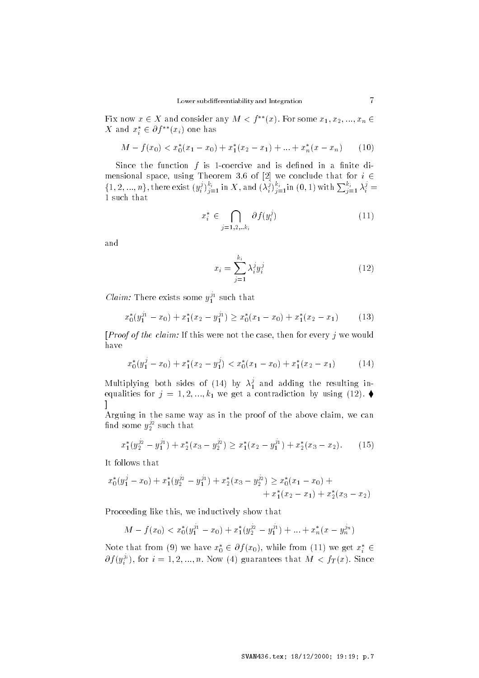Fix now  $x \in X$  and consider any  $M < f^{**}(x)$ . For some  $x_1, x_2, ..., x_n \in Y$ X and  $x_i^* \in \partial f^{**}(x_i)$  one has

$$
M - f(x_0) < x_0^*(x_1 - x_0) + x_1^*(x_2 - x_1) + \ldots + x_n^*(x - x_n) \tag{10}
$$

Since the function  $f$  is 1-coercive and is defined in a finite dimensional space, using Theorem 3.6 of [2] we conclude that for  $i \in$  $\{1,2,...,n\},$  there exist  $(y_i^j)_{i=1}^{k_i}$  in X, and  $(\lambda_i^j)_{i=1}^{k_i}$  in  $(0,1)$  with  $\sum_{i=1}^{k_i} \lambda_i^j = 1$ 1 such that

$$
x_i^* \in \bigcap_{j=1,2,\ldots,k_i} \partial f(y_i^j) \tag{11}
$$

and

$$
x_i = \sum_{j=1}^{k_i} \lambda_i^j y_i^j \tag{12}
$$

*Claim:* There exists some  $y_1^3$  such that

$$
x_0^*(y_1^{j_1} - x_0) + x_1^*(x_2 - y_1^{j_1}) \ge x_0^*(x_1 - x_0) + x_1^*(x_2 - x_1) \tag{13}
$$

[*Proof of the claim:* If this were not the case, then for every  $j$  we would have

$$
x_0^*(y_1^j - x_0) + x_1^*(x_2 - y_1^j) < x_0^*(x_1 - x_0) + x_1^*(x_2 - x_1) \tag{14}
$$

Multiplying both sides of (14) by  $\lambda_1^2$  an  $_1$  and resulting the resulting in  $_1$  $\mathcal{L}$  equalities for  $j = 1, 2, ..., n$  we get a contradiction by using  $(12)$ . and the contract of the contract of the contract of

Arguing in the same way as in the proof of the above claim, we can find some  $y_2^{z^2}$  such that

$$
x_1^*(y_2^{j_2} - y_1^{j_1}) + x_2^*(x_3 - y_2^{j_2}) \ge x_1^*(x_2 - y_1^{j_1}) + x_2^*(x_3 - x_2). \tag{15}
$$

It follows that

$$
x_0^*(y_1^j - x_0) + x_1^*(y_2^{j_2} - y_1^{j_1}) + x_2^*(x_3 - y_2^{j_2}) \ge x_0^*(x_1 - x_0) + + x_1^*(x_2 - x_1) + x_2^*(x_3 - x_2)
$$

Proceeding like this, we inductively show that

$$
M - f(x_0) < x_0^*(y_1^{j_1} - x_0) + x_1^*(y_2^{j_2} - y_1^{j_1}) + \ldots + x_n^*(x - y_n^{j_n})
$$

Note that from (9) we have  $x_0^* \in \partial f(x_0)$ , while from (11) we get  $x_i^* \in$  $\partial f(y_i^{\alpha})$ , for  $i=1,2,...,n$ . Now (4) guarantees that  $M < f_T(x)$ . Since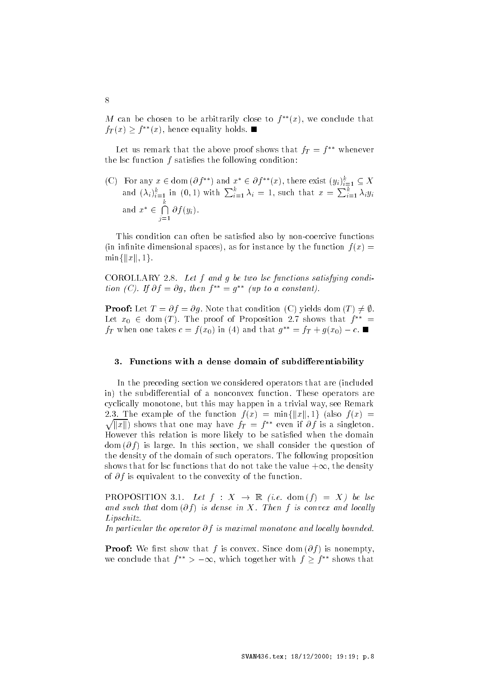$M$  can be chosen to be arbitrarily close to  $f^-(x)$ , we conclude that  $f_T(x) \geq f^{**}(x)$ , hence equality holds.

Let us remark that the above proof shows that  $fT = f$  – whenever  $\hspace{0.1mm}$ the lsc function  $f$  satisfies the following condition:

(C) For any  $x \in \text{dom}(\partial f^{**})$  and  $x^* \in \partial f^{**}(x)$ , there exist  $(y_i)_{i=1}^k \subseteq X$ and  $(\lambda_i)_{i=1}^k$  in  $(0,1)$  with  $\sum_{i=1}^k \lambda_i = 1$ , such that  $x = \sum_{i=1}^k \lambda_i y_i$ and  $x^* \in \bigcap \partial f(u)$ -f yi-

<sup>j</sup>

This condition can often be satisfied also by non-coercive functions (in infinite dimensional spaces), as for instance by the function  $f(x) =$  $\min\{\|x\|, 1\}.$ 

COROLLARIST **- External groups** so two too functions satisfying contain  $\iota \iota$  if  $\iota$  =  $\iota$  is  $\iota$  =  $\iota$  =  $\iota$  =  $\iota$  =  $\iota$  =  $\iota$  =  $\iota$  =  $\iota$  =  $\iota$  =  $\iota$  =  $\iota$  =  $\iota$  =  $\iota$  =  $\iota$  =  $\iota$  =  $\iota$  =  $\iota$  =  $\iota$  =  $\iota$  =  $\iota$  =  $\iota$  =  $\iota$  =  $\iota$  =  $\iota$  =

**Proof:** Let  $T = \partial f = \partial g$ . Note that condition (C) yields dom  $(T) \neq \emptyset$ . Let  $x_0 \in \text{dom}(T)$ . The proof of Proposition 2.7 shows that  $f^{**} =$  $f_T$  when one takes  $c = f(x_0)$  in (4) and that  $g^{**} = f_T + g(x_0) - c$ .

### - Functions with a dense domain of subdierentiability

In the preceding section we considered operators that are (included in the subdivision of a nonconvex function-  $\mathcal{L}_{\mathcal{A}}$ cyclically monotone, but this may happen in a trivial way, see Remark 2.3. The example of the function  $f(x) = \min\{\|x\|, 1\}$  (also  $f(x) =$  $\sqrt{\|x\|}$  shows that one may have  $f_T = f^{**}$  even if  $\partial f$  is a singleton. However this relation is more likely to be satisfied when the domain dom (0 f) is large-in this section, we shall consider the question of the density of the domain of such operators- The following proposition shows that for lsc functions that do not take the value  $+\infty$ , the density of  $\sigma$  , is equivalent to the convexity, of the function.

PROPOSITION 3.1. Let  $f: X \to \mathbb{R}$  (i.e. dom  $(f) = X$ ) be lsc and such that ability for achieve the little field convergence and received Lipschitz.

In particular the operator  $\cup$  , is maximal monotone and locally occurred to

 $\blacksquare$  . We say that the some convex  $\blacksquare$  is nonempty we conclude that  $f^{**} > -\infty$ , which together with  $f > f^{**}$  shows that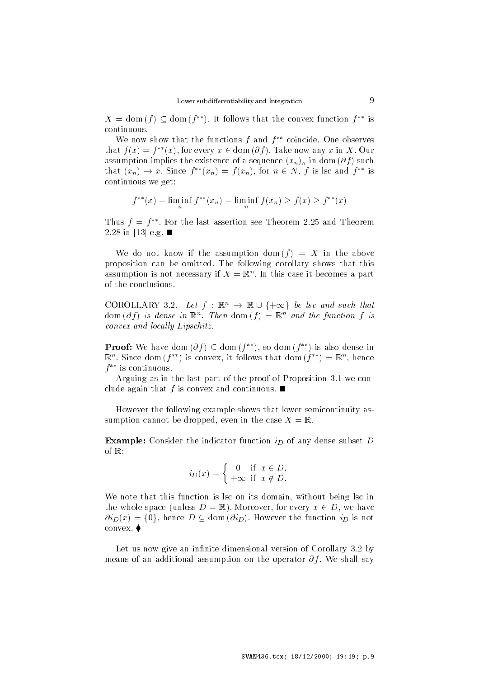$X = \text{dom}(f) \subseteq \text{dom}(f^{**})$ . It follows that the convex function  $f^{**}$  is continuous-

We now show that the functions <sup>f</sup> and <sup>f</sup> coincide- One observes that  $f(x) = f^{**}(x)$ , for every  $x \in \text{dom}(\partial f)$ . Take now any x in X. Our assumption implies the existence of a sequence  $\{w_h\}_h$  in dom  $\{v_f\}_h$  such that  $(x_n) \to x$ . Since  $f^{**}(x_n) = f(x_n)$ , for  $n \in N$ , f is lsc and  $f^{**}$  is continuous we get

$$
f^{**}(x) = \liminf_{n} f^{**}(x_n) = \liminf_{n} f(x_n) \ge f(x) \ge f^{**}(x)
$$

Inus  $f = f$  . For the last assertion see Theorem 2.25 and Theorem - in  e-g-

we do not have  $\alpha$  in the assumption dom  $\{f\}$  in the above proposition can be omitted- The following corollary shows that this assumption is not necessary if  $X = \mathbb{R}^n$ . In this case it becomes a part of the conclusionsof the conclusions.<br>COROLLARY 3.2. Let  $f : \mathbb{R}^n \to \mathbb{R} \cup \{+\infty\}$  be lsc and such that

dom  $\{0\}$  is dense in  $\mathbb{R}^n$ . Then dom  $\{1\}^n \equiv \mathbb{R}^n$  and the function fits  $convex$  and locally  $Lipschitz$ .

**Proof:** We have dom  $(\partial f) \subset$  dom  $(f^{**})$ , so dom  $(f^{**})$  is also dense in  $\mathbb{R}^n$ . Since dom (*I* ) is convex, it follows that dom (*I* )  $\equiv$   $\mathbb{R}^n$ , nence f is continuous-

Arguing as in the last part of the proof of Proposition - we con clude again that <sup>f</sup> is convex and continuous-

However the following example shows that lower semicontinuity as sumption cannot se dropped even in the case in **a**d.

**Example:** Consider the indicator function  $i_D$  of any dense subset  $D$ of  $\mathbb{R}$ :

$$
i_D(x) = \begin{cases} 0 & \text{if } x \in D, \\ +\infty & \text{if } x \notin D. \end{cases}
$$

We note that this function is lsc on its domain, without being lsc in the whole space (unless  $D = \mathbb{R}$ ). Moreover, for every  $x \in D$ , we have  $\partial i_D(x) = \{0\}$ , hence  $D \subseteq \text{dom}(\partial i_D)$ . However the function  $i_D$  is not convex- -

Let us now give an innite dimensional version of Corollary - by  $\mathbf{m}$  and  $\mathbf{m}$  are additional assumption on the operator  $\mathcal{O}_I$  . The shall say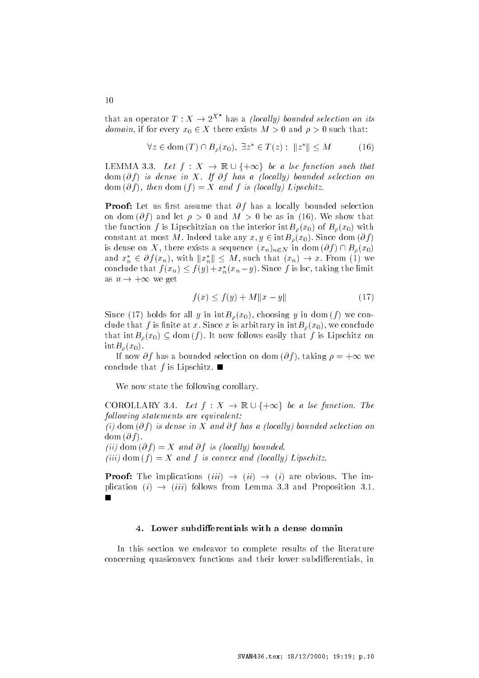that an operator  $T : X \to 2^{X^*}$  has a *(locally) bounded selection on its* domain, if for every  $x_0 \in X$  there exists  $M > 0$  and  $\rho > 0$  such that:

$$
\forall z \in \text{dom}(T) \cap B_{\rho}(x_0), \exists z^* \in T(z) : ||z^*|| \le M \tag{16}
$$
  
LEMMA 3.3. Let  $f : X \to \mathbb{R} \cup \{+\infty\}$  be a lsc function such that

dom for factor and  $\alpha$  from a local democratic one one one one one of the selection one of the selection one  $\alpha$  and f  $\alpha$  is the function for  $\alpha$  is the function  $\alpha$  is the function of  $\alpha$ 

 $\blacksquare$  . See, Hot assume that  $\sigma$  is the selection selection in the second selection in the selection of  $\sigma$ on dom  $\{0\}$  and it  $p > 0$  and  $M > 0$  be as in  $\{10\}$ . We show that the function f is Lipschitzian on the interior  $intB_{\rho}(x_0)$  of  $B_{\rho}(x_0)$  with constant at most M. Indeed take any  $x, y \in \text{int}B_{\rho}(x_0)$ . Since dom  $(\partial f)$ is dense on X, there exists a sequence  $(x_n)_{n\in N}$  in dom  $(\partial f)\cap B_\rho(x_0)$ and  $x_n^* \in \partial f(x_n)$ , with  $||x_n^*|| \leq M$ , such that  $(x_n) \to x$ . From (1) we nost M. Indeed take any  $x, y \in \text{int}B_{\rho}(x_0)$ . Since  $X$ , there exists a sequence  $(x_n)_{n \in N}$  in dom  $(\partial f)$   $(x_n)$ , with  $||x_n^*|| \leq M$ , such that  $(x_n) \to x$ . From conclude that  $f(x_n) \leq f(y) + x_n^*(x_n - y)$ . Since f is lsc, taking the limit as  $n \to +\infty$  we get

$$
f(x) \le f(y) + M \|x - y\| \tag{17}
$$

Since (17) holds for all y in  $intB_{\rho}(x_0)$ , choosing y in dom  $(f)$  we con- $\alpha$  is a since  $\alpha$  is a since  $\alpha$  is arbitrary in interplay we conclude that  $\int h \, dt \, dt = \int f(x) \, dx$  on  $\int f(x) \, dx$  is Lipschitz on  $\mathrm{int}B_{\rho}(x_0).$ 

If now  $\partial f$  has a bounded selection on dom  $(\partial f)$ , taking  $\rho = +\infty$  we conclude that  $f$  is Eipschitz-

We now state the following corollary.

We now state the following corollary.<br>COROLLARY 3.4. Let  $f : X \to \mathbb{R} \cup \{+\infty\}$  be a lsc function. The following statements are equivalent is dom in the motion in the mind of the moderned selection on one  $\alpha$  -  $\alpha$  -  $\alpha$  -  $\beta$  $\lceil \cdot v \rceil$  and  $\lceil \cdot v \rceil$  is and  $\lceil \cdot v \rceil$  is local and  $\lceil \cdot v \rceil$  and  $\lceil \cdot v \rceil$  $\lceil \cdots \rceil$  dom f is convex and local local local local local local local local local local local local local local local local local local local local local local local local local local local local local local local loc

**Proof:** The implications  $(iii) \rightarrow (ii) \rightarrow (i)$  are obvious. The implication (i)  $\rightarrow$  (iii) follows from Lemma 3.3 and Proposition 3.1.  $\overline{\phantom{a}}$ 

In this section we endeavor to complete results of the literature concerning quasiconvex functions and their lower subdifferentials, in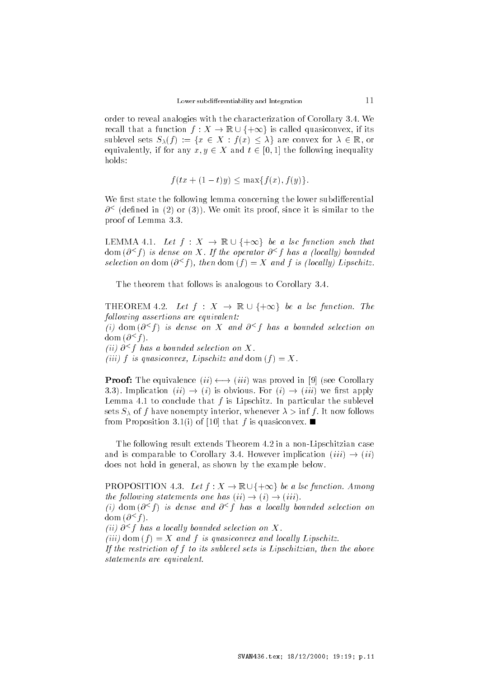order to reveal and the print with the characterization of Corollary - The Corollary - The Corollary - The Corollary - The Corollary - The Corollary - The Corollary - The Corollary - The Corollary - The Corollary - The Cor order to reveal analogies with the characterization of Corollary 3.4. We<br>recall that a function  $f: X \to \mathbb{R} \cup \{+\infty\}$  is called quasiconvex, if its sublevel sets  $S_{\lambda}(f) := \{x \in X : f(x) \leq \lambda\}$  are convex for  $\lambda \in \mathbb{R}$ , or equivalently, if for any  $x, y \in X$  and  $t \in [0, 1]$  the following inequality

$$
f(tx+(1-t)y) \le \max\{f(x), f(y)\}.
$$

We first state the following lemma concerning the lower subdifferential  $\sigma$   $\cdot$  (denned in (2) or (5)). We omit its proof, since it is similar to the proof the Lemma - contract of Lemma - contract of Lemma - contract of Lemma - contract of Lemma - contract of proof of Lemma 3.3.<br>LEMMA 4.1. Let  $f: X \to \mathbb{R} \cup \{+\infty\}$  be a lsc function such that

 $\phi$  and  $\phi$  is a local  $\alpha$  is the operator  $\phi$  is the assembly countable to  $\phi$ selection on dom  $\{0, 1\}$ , then dom  $\{1\} \equiv \Lambda$  and f is flocally Lipschitz.

The theorem that follows is analogous to  $\mathcal{L}$ 

The theorem that follows is analogous to Corollary 3.4.<br>
THEOREM 4.2. Let  $f : X \to \mathbb{R} \cup \{+\infty\}$  be a lsc function. The following assertions are equivalent:  $\{i\}$  dom  $\{i\}$  is dense on  $\Lambda$  and  $\theta \uparrow \tau$  has a bounded selection on  $\text{dom}(O \setminus I)$ .  $\{u\}$  o  $\rightarrow$  1 nus a bounded selection on  $\Lambda$ . iiii f is duasiconvecting  $\mathbf{r}$  and  $\mathbf{r}$  and  $\mathbf{r}$  and  $\mathbf{r}$  and  $\mathbf{r}$ 

**Proof:** The equivalence  $(ii) \longleftrightarrow (iii)$  was proved in [9] (see Corollary 3.3). Implication  $(ii) \rightarrow (i)$  is obvious. For  $(i) \rightarrow (iii)$  we first apply Lemma I. To conclude that I is Lipschitz- in particular the sublevel in  $\sigma$  is  $\sigma$  or f have nonempty interior, whenever  $\alpha > \min$  for now follows  $\ldots$  . The proposition  $\ldots$ ,  $\ldots$  for  $\lceil x \rceil$  and  $\lceil x \rceil$  is quasiconvex.  $\blacksquare$ 

<u>result extends the following theorem - in a non-Lipschitzian case the</u>orem - in a non-Lipschitzian case of the s and is comparable to Corollary 3.4. However implication  $(iii) \rightarrow (ii)$ does not hold in general, as shown by the example below. does not hold in general, as shown by the example below.<br>PROPOSITION 4.3. Let  $f: X \to \mathbb{R} \cup \{+\infty\}$  be a lsc function. Among

the following statements one has  $(ii) \rightarrow (i) \rightarrow (iii)$ .  $\{i\}$  dom  $\{i\}$  is dense and  $i\in I$  has a locally bounded selection on  $q$  om  $q \circ t$  - $\{u\}$  o  $\leq$  -  $\upmu$  as a locally bounded selection on  $\Lambda$ .  $\left[ \ldots \right]$  and  $\left[ \ldots \right]$  is and  $\left[ \ldots \right]$  and local linear recently between If the restriction of f to its sublevel sets is Lipschitzian, then the above statements are equivalent.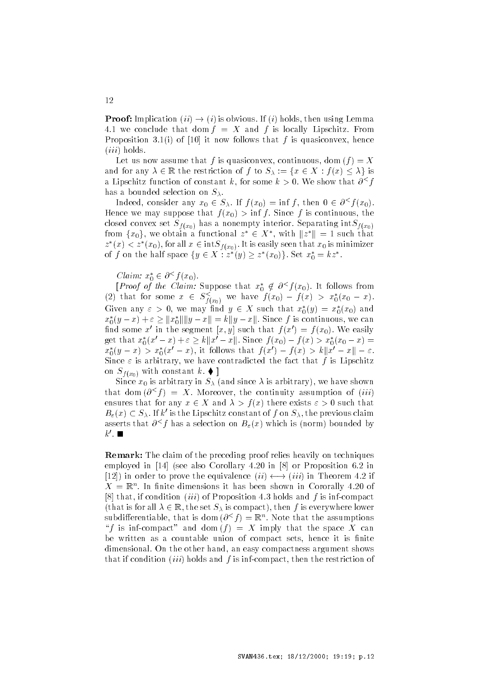**Proof:** Implication  $(ii) \rightarrow (i)$  is obvious. If  $(i)$  holds, then using Lemma fix we conclude that dom f is and f is locally Eighten from reposition of the state follows that follows the dependent city neutro- $(iii)$  holds.

Let us now wooding that f is quasiconvex, continuous and we if  $\mu$  is the set and for any  $\lambda \in \mathbb{R}$  the restriction of f to  $S_{\lambda} := \{x \in X : f(x) \leq \lambda\}$  is a lipschitz function of constant  $\kappa$ , for some  $\kappa > 0$ . We show that  $\sigma \gamma$ has a bounded selection on  $S_\lambda$ .

Indeed, consider any  $x_0 \in S_\lambda$ . If  $f(x_0) = \inf f$ , then  $0 \in \partial^{\leq} f(x_0)$ .  $\mathbf{r}_i$  is that f  $\mathbf{r}_i$  is a supposed that f  $\mathbf{r}_i$  is  $\mathbf{r}_i$  . The summatrix  $\mathbf{r}_i$ crosed convert set  $S_f(x_0)$  has a nonempty interior-separating ints  $f(x_0)$ from  $\{x_0\}$ , we obtain a functional  $z^* \in X^*$ , with  $||z^*|| = 1$  such that  $z^*(x) < z^*(x_0)$ , for all  $x \in \text{int}S_{f(x_0)}$ . It is easily seen that  $x_0$  is minimizer of f on the half space  $\{y \in X : z^*(y) \ge z^*(x_0)\}$ . Set  $x_0^* = kz^*$ .

Claim:  $x_0^* \in \partial^{\leq} f(x_0)$ .

[*Proof of the Claim:* Suppose that  $x_0^* \notin \partial^{\leq} f(x_0)$ . It follows from (2) that for some  $x \in S_{f(x_0)}^{\leq}$  we have  $f(x_0) - f(x) > x_0^*(x_0 - x)$ .<br>Given any  $\varepsilon > 0$ , we may find  $y \in X$  such that  $x_0^*(y) = x_0^*(x_0)$  and  $x_0$ Given any  $\varepsilon > 0$ , we may find  $y \in X$  such that  $x_0^*(y) = x_0^*(x_0)$  and  $x_0^*(y-x)+\varepsilon \geq ||x_0^*|| ||y-x|| = k||y-x||$ . Since f is continuous, we can ind some x- in the segment  $x, y$  such that  $f(x) = f(x_0)$ . We easily get that  $x_0^*(x'-x) + \varepsilon \ge k||x'-x||$ . Since  $f(x_0) - f(x) > x_0^*(x_0 - x) =$ find some x' in the segment  $[x, y]$  such that  $f(x') = f(x_0)$ . We easily<br>get that  $x_0^*(x'-x) + \varepsilon \ge k||x'-x||$ . Since  $f(x_0) - f(x) > x_0^*(x_0 - x) =$ <br> $x_0^*(y-x) > x_0^*(x'-x)$ , it follows that  $f(x') - f(x) > k||x'-x|| - \varepsilon$ . Since  $\varepsilon$  is arbitrary, we have contradicted the fact that f is Lipschitz  $\sum_{i=1}^{\infty}$  ( $x_0$ ) when constant  $\alpha$ .

 $S$ ince  $\alpha$ <sub>i</sub> is arbitrary in  $\beta$ <sub>A</sub> (and since  $\beta$ , is arbitrary  $\beta$ ), we have shown that dom  $\{O^+I\}$  =  $\Lambda$ . Moreover, the continuity assumption of  $\{iii\}$ ensures that for any  $x \in X$  and  $\lambda > f(x)$  there exists  $\varepsilon > 0$  such that  $B_{\varepsilon}(x) \subset S_{\lambda}$ . If k' is the Lipschitz constant of f on  $S_{\lambda}$ , the previous claim asserts that  $\theta \wedge f$  has a selection on  $D_{\varepsilon}(x)$  which is (horm) bounded by  $\kappa$  .  $\blacksquare$ 

**Remark:** The claim of the preceding proof relies heavily on techniques employed in the corollary - in the corollary - in the corollary - in the corollary - in the corollary - in the corollary - in the corollary - in the corollary - in the corollary - in the corollary - in the corollary - in t [12]) in order to prove the equivalence  $(ii) \longleftrightarrow (iii)$  in Theorem 4.2 if  $\Lambda = \mathbb{R}^+$ . In nitle dimensions it has been shown in Cororally 4.20 of  $\sim$  is invertion and following a proposition - is notably which is informacted and  $\sim$ (that is for all  $\lambda \in \mathbb{R}$ , the set  $S_{\lambda}$  is compact), then f is everywhere lower subdilierentiable, that is dom  $\{O^*\}\equiv\mathbb{R}^+$ . Note that the assumptions  $\mathcal{L}$  is inference and dom f  $\mathcal{L}$  in the space  $\mathcal{L}$  can the space  $\mathcal{L}$ be written as a countable union of compact sets, hence it is finite an the other hand and an easy compactness are the other hand and compactness are an easy compactness are as a that if condition *(iii)* holds and f is inf-compact, then the restriction of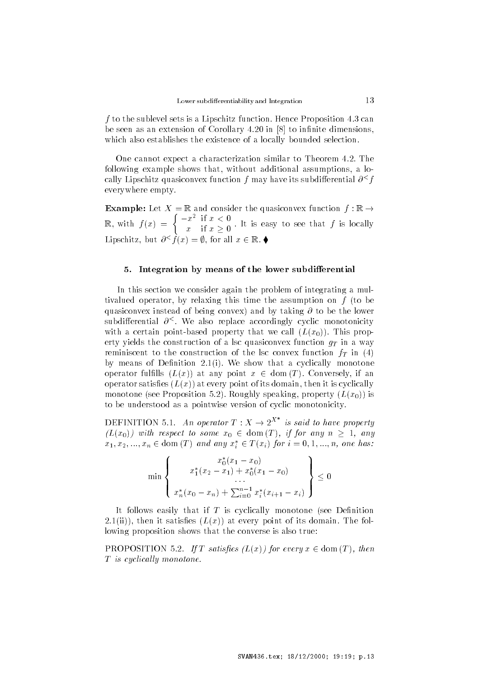f to the sublevel sets is a Lipschitz function. Hence I reposition the can be seen as an extension of  $\mathbb{R}^n$  . The innite dimension of  $\mathbb{R}^n$ which also establishes the existence of a locally bounded selection.

, our cannot expect a characterization similar to Theorem - and the Theorem following example shows that, without additional assumptions, a locally Lipschitz quasiconvex function  $\bar{r}$  may have its subdimerential  $\theta \restriction \bar{r}$ everywhere empty-

**Example:** Let  $X = \mathbb{R}$  and consider the quasiconvex function  $f : \mathbb{R} \to$  $\mathbb{R}$ , with  $f(x) = \begin{cases} -x^2 & \text{if } x < 0 \\ 0 & \text{if } x > 0 \end{cases}$ .  $x \text{ if } x \geq 0$  is the is easy to see that f is locally Lipschitz, but  $\partial^{\leq} f(x) = \emptyset$ , for all  $x \in \mathbb{R}$ .

### - Integration by means of the lower subdierential

In this section we consider again the problem of integrating a mul tivalued operator, by relaxing this time the assumption on  $f$  (to be  $q$ uasiconvex instead of being convex, and by taking  $\sigma$  to be the lower subdifferential  $\theta$  . We also replace accordingly cyclic monotonicity with a certain point sacra property that we can  $\sum_{i=1}^{\infty}$  with  $\sum_{i=1}^{\infty}$ erty yields the construction of a lsc quasiconvex function  $g_T$  in a way reminiscent to the construction of the lsc convex function  $f_T$  in (4) by means of Denition -i- We show that a cyclically monotone operator fulfills  $(L(x))$  at any point  $x \in \text{dom}(T)$ . Conversely, if an operator satisfies  $(L(x))$  at every point of its domain, then it is cyclically  $\mathbf{m}$  and  $\mathbf{m}$  speaking  $\mathbf{m}$  is the property property  $\mathbf{m}$  is the property  $\mathbf{m}$ to be understood as a pointwise version of cyclic monotonicity-

DEFINITION 5.1. An operator  $T: X \to 2^{X^*}$  is said to have property  $(L(x_0))$  with respect to some  $x_0 \in \text{dom}(T)$ , if for any  $n \geq 1$ , any  $x_1, x_2, ..., x_n \in \text{dom}(T)$  and any  $x_i^* \in T(x_i)$  for  $i = 0, 1, ..., n$ , one has:

$$
\min \left\{ x_1^*(x_2 - x_1) + x_0^*(x_1 - x_0) \dots \right\} \times \left\{ x_n^*(x_0 - x_n) + \sum_{i=0}^{n-1} x_i^*(x_{i+1} - x_i) \right\} \le 0
$$

It follows easily that if  $T$  is cyclically monotone (see Definition  $\blacksquare$ ...,,,, and it satisfies  $\Box$ ,,,,,, at every point of its domaint  $\blacksquare$  its following lowing proposition shows that the converse is also true

**PROPOSITION** 5.2. If T satisfies  $(L(x))$  for every  $x \in \text{dom}(T)$ , then  $\mathbf{r}$  is cyclically monotoned.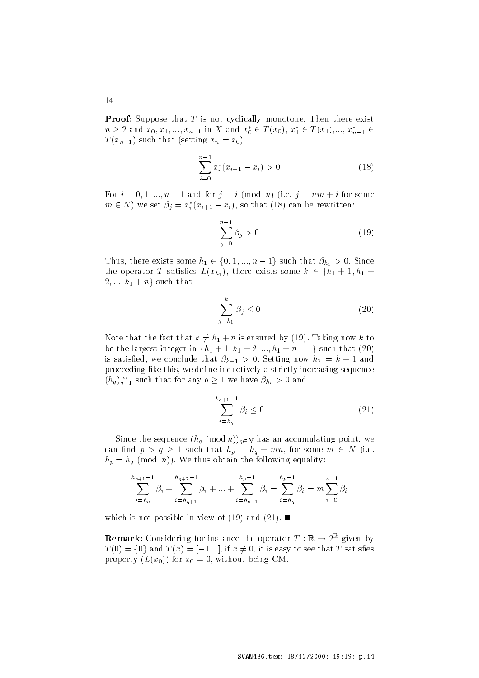**If you** puppose that I is not cyclically inchested that there exist  $n \geq 2$  and  $x_0, x_1, ..., x_{n-1}$  in X and  $x_0^* \in T(x_0), x_1^* \in T(x_1), ..., x_{n-1}^* \in$  $\mathcal{L} \left( \mathcal{L} \right)$  is settled to the setting  $\mathcal{L} \left( \mathcal{L} \right)$ 

$$
\sum_{i=0}^{n-1} x_i^*(x_{i+1} - x_i) > 0
$$
\n(18)

For  $i = 0, 1, ..., n - 1$  and for  $j = i \pmod{n}$  (i.e.  $j = nm + i$  for some  $m \in N$ ) we set  $\beta_j = x_i^*(x_{i+1} - x_i)$ , so that (18) can be rewritten:

$$
\sum_{j=0}^{n-1} \beta_j > 0 \tag{19}
$$

Thus, there exists some  $h_1 \in \{0, 1, ..., n-1\}$  such that  $\beta_{h_1} > 0$ . Since the operator T satisfies  $L(x_{h_1})$ , there exists some  $k \in \{h_1+1, h_1+1\}$  $\{0, 1, ..., n-1\}$  such that  $\beta_{h_1} > 0$ . Since<br>), there exists some  $k \in \{h_1 + 1, h_1 + \dots\}$  $2, ..., h_1 + n$  such that

$$
\sum_{j=h_1}^k \beta_j \le 0 \tag{20}
$$

Note that the fact that  $k \neq h_1 + n$  is ensured by (19). Taking now k to be the largest integer in  $\{h_1+1, h_1+2, ..., h_1+n-1\}$  such that  $(20)$  $k$  satisfied we conclude that  $\beta_{h+1} > 0$  . Setting now  $\beta_{h} > 0$ proceeding like this, we define inductively a strictly increasing sequence  $(h_q)_{q=1}^{\infty}$  such that for any  $q\geq 1$  we have  $\beta_{h_q}>0$  and

$$
\sum_{i=h_q}^{h_{q+1}-1} \beta_i \le 0 \tag{21}
$$

Since the sequence  $(h_q \pmod{n}_{q \in N}$  has an accumulating point, we can find  $p > q \ge 1$  such that  $h_p = h_q + mn$ , for some  $m \in N$  (i.e.  $h_{\eta}$  by the density is the following equality.

$$
\sum_{i=h_q}^{h_{q+1}-1} \beta_i + \sum_{i=h_{q+1}}^{h_{q+2}-1} \beta_i + \dots + \sum_{i=h_{p-1}}^{h_p-1} \beta_i = \sum_{i=h_q}^{h_p-1} \beta_i = m \sum_{i=0}^{n-1} \beta_i
$$

which is not possible in view of  $\mathcal{A}$  and  $\mathcal{A}$ 

**Remark:** Considering for instance the operator  $T : \mathbb{R} \to 2^{\mathbb{R}}$  given by  $T(0) = \{0\}$  and  $T(x) = [-1, 1]$ , if  $x \neq 0$ , it is easy to see that T satisfies  $\mu$  property  $\mu$  ( $\omega$ ),  $\mu$  for  $\omega_0$   $\omega$ , writing comparison.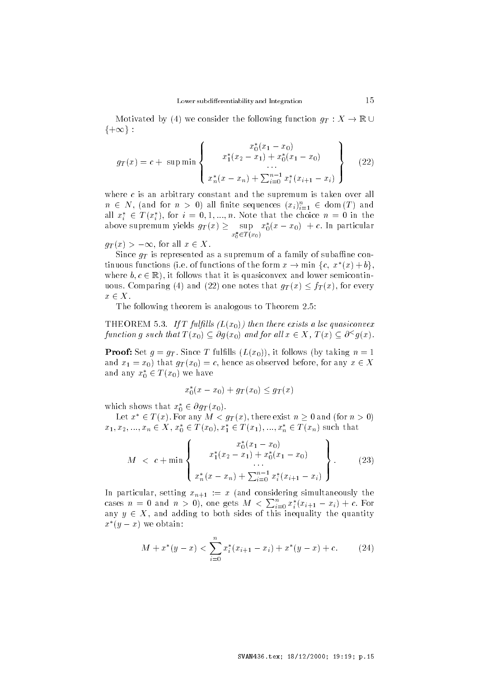Motivated by (4) we consider the following function  $g_T : X \to \mathbb{R} \cup$  $\{+\infty\}$ :

$$
g_T(x) = c + \sup \min \left\{ x_1^*(x_2 - x_1) + x_0^*(x_1 - x_0) \dots \right\}
$$
  

$$
x_n^*(x - x_n) + \sum_{i=0}^{n-1} x_i^*(x_{i+1} - x_i) \right\}
$$
 (22)

where  $c$  is an arbitrary constant and the supremum is taken over all  $n \in N$ , (and for  $n > 0$ ) all finite sequences  $(x_i)_{i=1}^n \in \text{ dom}(T)$  and all  $x_i^* \in T(x_i^*)$ , for  $i = 0, 1, ..., n$ . Note that the choice  $n = 0$  in the above supremum yields  $g_T(x) \geq \sup x^*_0$  $x_0 \in I(x_0)$  $x_0^*(x-x_0) + c$ . In particular

 $g_T(x) > -\infty$ , for all  $x \in X$ .

Since  $g_T$  is represented as a supremum of a family of subaffine continuous functions (i.e. of functions of the form  $x \to \min \{c, x^*(x) + b\},\$ where  $b, c \in \mathbb{R}$ , it follows that it is quasiconvex and lower semicontinuous. Comparing (4) and (22) one notes that  $g_T(x) \leq f_T(x)$ , for every  $x \in X$ .

 $\mathcal{T}$  theorem is analogous to  $\mathcal{T}$  theorem is analogous to Theorem is analogous to Theorem -

 $\blacksquare$  is a larger  $\blacksquare$  if  $\blacksquare$  if  $\blacksquare$  if  $\blacksquare$  if  $\blacksquare$  is the convex of the convex of the convex of the convex of the convex of the convex of the convex of the convex of the convex of the convex of the convex o function g such that  $T(x_0) \subset \partial g(x_0)$  and for all  $x \in X$ ,  $T(x) \subset \partial^{\leq} g(x)$ .

 $\blacksquare$   $\blacksquare$   $\blacksquare$   $\blacksquare$   $\blacksquare$   $\blacksquare$   $\blacksquare$   $\blacksquare$   $\blacksquare$   $\blacksquare$   $\blacksquare$   $\blacksquare$   $\blacksquare$   $\blacksquare$   $\blacksquare$   $\blacksquare$   $\blacksquare$   $\blacksquare$   $\blacksquare$   $\blacksquare$   $\blacksquare$   $\blacksquare$   $\blacksquare$   $\blacksquare$   $\blacksquare$   $\blacksquare$   $\blacksquare$   $\blacksquare$   $\blacksquare$   $\blacksquare$   $\blacksquare$   $\blacks$ and  $x_1 = x_0$ ) that  $g_T(x_0) = c$ , hence as observed before, for any  $x \in X$ and any  $x_0^* \in T(x_0)$  we have

$$
x_0^*(x - x_0) + g_T(x_0) \le g_T(x)
$$

which shows that  $x_0^* \in \partial g_T(x_0)$ .

Let  $x^* \in T(x)$ . For any  $M < g_T(x)$ , there exist  $n \geq 0$  and (for  $n > 0$ )  $x_1, x_2, ..., x_n \in X$ ,  $x_0^* \in T(x_0), x_1^* \in T(x_1), ..., x_n^* \in T(x_n)$  such that

$$
M < c + \min \left\{ \begin{array}{c} x_0^*(x_1 - x_0) \\ x_1^*(x_2 - x_1) + x_0^*(x_1 - x_0) \\ \vdots \\ x_n^*(x - x_n) + \sum_{i=0}^{n-1} x_i^*(x_{i+1} - x_i) \end{array} \right\}.
$$
 (23)

In particular, setting  $x_{n+1}$  , we part considering simultaneously the cases  $n = 0$  and  $n > 0$ ), one gets  $M < \sum_{i=0}^{n} x_i^*(x_{i+1} - x_i) + c$ . For any  $y \in X$ , and adding to both sides of this inequality the quantity  $x^*(y-x)$  we obtain:

$$
M + x^*(y - x) < \sum_{i=0}^n x_i^*(x_{i+1} - x_i) + x^*(y - x) + c. \tag{24}
$$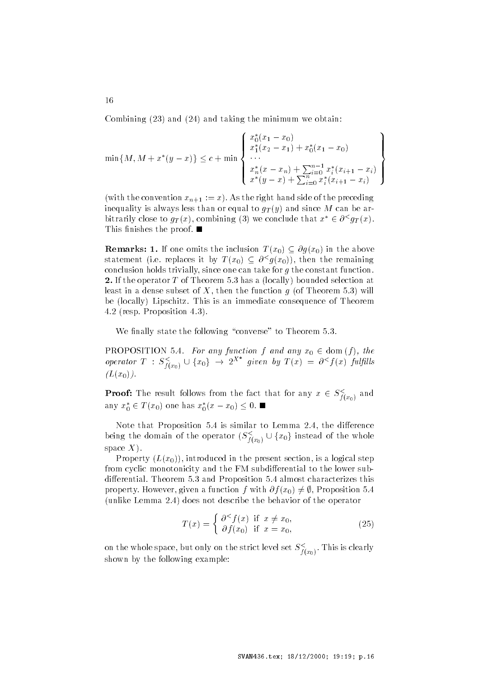Combining  $(23)$  and  $(24)$  and taking the minimum we obtain:

$$
\min\{M, M + x^*(y - x)\} \le c + \min\left\{\begin{array}{l} x_0^*(x_1 - x_0) \\ x_1^*(x_2 - x_1) + x_0^*(x_1 - x_0) \\ \cdots \\ x_n^*(x - x_n) + \sum_{i=0}^{n-1} x_i^*(x_{i+1} - x_i) \\ x^*(y - x) + \sum_{i=0}^{n} x_i^*(x_{i+1} - x_i) \end{array}\right\}
$$

 $\mathcal{N}$  and the right  $\mathcal{N}$   $\mathcal{N}$  is the right hand side of the preceding inequality is always less than or equal to  $g_T(y)$  and since M can be arbitrarily close to  $g_T(x)$ , combining (3) we conclude that  $x^* \in \partial^{\leq} g_T(x)$ . This nishes the proof of  $\sim$ 

**Remarks: 1.** If one omits the inclusion  $T(x_0) \subseteq \partial g(x_0)$  in the above statement (i.e. replaces it by  $T(x_0) \subset \partial^{\leq} g(x_0)$ ), then the remaining conclusion holds trivially, since one can take for  $q$  the constant function.  $\blacksquare$  International  $\blacksquare$  or  $\blacksquare$  international selection at the selection at the selection at the selection at the selection at the selection at the selection at the selection at the selection at the selection at the least in a dense subset of II then the function  $q$  (of Theorem of) will be locally Lipschitz- This is an immediate consequence of Theorem - resp- Proposition --

where the following converse to  $\mathbb{R}^n$  and  $\mathbb{R}^n$  are to Theorem - Theorem - Theorem - Theorem - Theorem - Theorem - Theorem - Theorem - Theorem - Theorem - Theorem - Theorem - Theorem - Theorem - Theorem - Theorem

**PROPOSITION** 5.4. For any function f and any  $x_0 \in \text{dom}(f)$ , the PROPOSITION 5.4. For any function f and any  $x_0 \in \text{dom}(f)$ , the operator  $T : S^{\leq}_{f(x_0)} \cup \{x_0\} \to 2^{X^*}$  given by  $T(x) = \partial^{\leq} f(x)$  fulfills  $(L(x_0)).$ 

**Proof:** The result follows from the fact that for any  $x \in S^<_{f(x_0)}$  and any  $x_0^* \in T(x_0)$  one has  $x_0^*(x-x_0) \leq 0$ .

Note that Proposition - is similar to Lemma - the di erence Note that Proposition 5.4 is similar to Lemma 2.4, the difference<br>being the domain of the operator  $(S_{f(x_0)}^{\lt} \cup \{x_0\}$  instead of the whole space  $X$ ).

Property  $(L(x_0))$ , introduced in the present section, is a logical step from cyclic monotonicity and the FM subdifferential to the lower subdiscussed and Proposition - and Proposition - and Proposition - and Proposition - and Proposition - and Proposition property. However, given a function f with  $\partial f(x_0) \neq \emptyset$ , Proposition 5.4 , and the continues of the behavior of the behavior of the operator of the operator of the operator of the operator of the operator of the operator of the operator of the operator of the operator of the operator of the ope

$$
T(x) = \begin{cases} \partial^{\leq} f(x) & \text{if } x \neq x_0, \\ \partial f(x_0) & \text{if } x = x_0, \end{cases}
$$
 (25)

on the whole space, but only on the strict level set  $S_{\hat{f}(x_0)}$ . This is clearly shown by the following example

16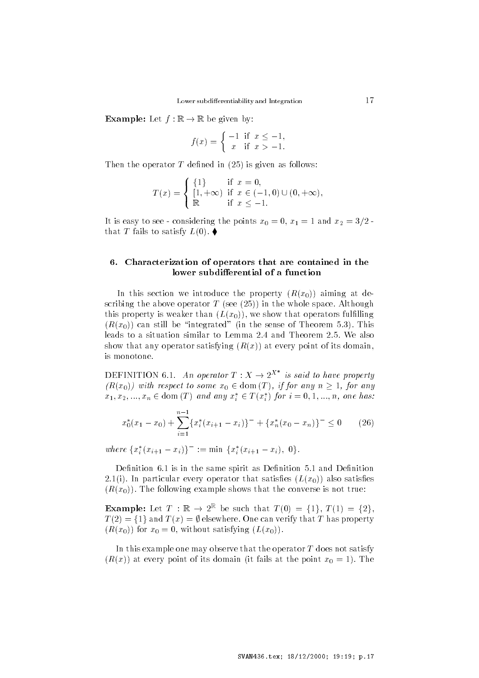**Example:** Let  $f : \mathbb{R} \to \mathbb{R}$  be given by:

$$
\Rightarrow \mathbb{R} \text{ be given by:}
$$
  

$$
f(x) = \begin{cases} -1 & \text{if } x \le -1, \\ x & \text{if } x > -1. \end{cases}
$$

Then the operator T defined in  $(25)$  is given as follows:

$$
T(x) = \begin{cases} \{1\} & \text{if } x = 0, \\ [1, +\infty) & \text{if } x \in (-1, 0) \cup (0, +\infty), \\ \mathbb{R} & \text{if } x \le -1. \end{cases}
$$

It is easy to see considering the points  $x_{0}$  and  $y_{1}$  are  $z_{2}$  and  $z_{3}$  $\ldots$  . Then  $\ldots$  satisfy  $\ldots$ 

## - Characterization of operators that are contained in the lower subdifferential of a function

In this section we introduce the property  $(R(x_0))$  aiming at describing the above operator  $\mathbf{r}$  (see  $\mathbf{r}$ ), in the whole space-rituation,  $\mathbf{r}$ this property is weaker than  $(L(x_0))$ , we show that operators fulfilling  $\sum_{i=1}^{\infty}$  can still be integrated  $\sum_{i=1}^{\infty}$  in the sense of Theorem 3.3). This show that any operator satisfying  $(R(x))$  at every point of its domain. is monotone-

DEFINITION 6.1. An operator  $T: X \to 2^{X^*}$  is said to have property  $(R(x_0))$  with respect to some  $x_0 \in \text{dom}(T)$ , if for any  $n \geq 1$ , for any  $x_1, x_2, ..., x_n \in \text{dom}(T)$  and any  $x_i^* \in T(x_i^*)$  for  $i = 0, 1, ..., n$ , one has:

$$
x_0^*(x_1 - x_0) + \sum_{i=1}^{n-1} \{x_i^*(x_{i+1} - x_i)\}^- + \{x_n^*(x_0 - x_n)\}^- \le 0 \qquad (26)
$$

where  $\{x_i^*(x_{i+1} - x_i)\}^- := \min \{x_i^*(x_{i+1} - x_i), 0\}.$ 

Denition 
- is in the same spirit as Denition - and Denition -i- In particular every operator that satises Lx also satises  $\mathcal{L}_{\mathcal{L}}$  . The following example shows that the converse is not true.

**Example:** Let  $T : \mathbb{R} \to 2^{\mathbb{K}}$  be such that  $T(0) = \{1\}$ ,  $T(1) = \{2\}$ ,  $T(2) = \{1\}$  and  $T(x) = \emptyset$  elsewhere. One can verify that T has property  $\sum_{i=1}^{\infty} \binom{m}{i}$  is  $\sum_{i=1}^{\infty} \binom{m}{i}$  in  $\sum_{i=1}^{\infty} \binom{m}{i}$ 

In this example one may observe that the operator  $T$  does not satisfy  $\left( \begin{array}{c} \text{Irr}(w) \\ \text{Irr}(w) \end{array} \right)$  at every point of its domain  $\left( \text{Irr}(w)$  at the point  $w_0$  at  $\text{Irr}(w)$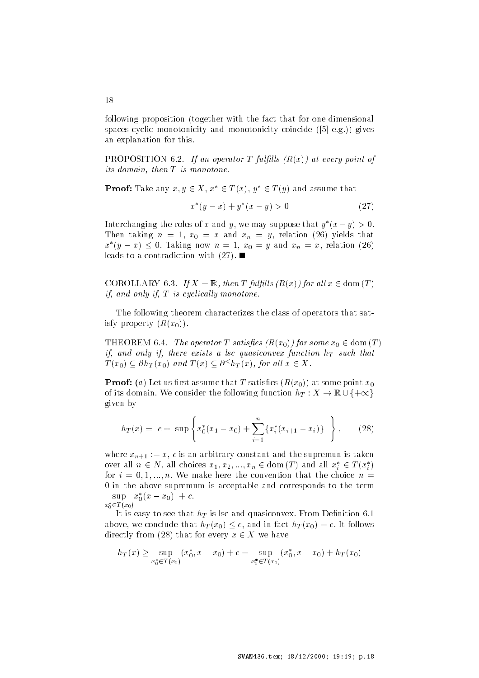following proposition (together with the fact that for one dimensional spaces cyclic monotonicity and monotonicity coincide  e-g- gives an explanation for this-

 $\mathcal{L}$  and  $\mathcal{L}$  because the contract  $\mathcal{L}$  full large  $\mathcal{L}$  and  $\mathcal{L}$  are every point of its domain, then  $T$  is monotone.

**Proof:** Take any  $x, y \in X$ ,  $x^* \in T(x)$ ,  $y^* \in T(y)$  and assume that

$$
x^*(y-x) + y^*(x-y) > 0 \tag{27}
$$

Interchanging the roles of x and y, we may suppose that  $y^*(x-y) > 0$ .  $\mathbf{r}$  and  $\mathbf{r}$  and  $\mathbf{r}$  and  $\mathbf{r}$  and  $\mathbf{r}$  and  $\mathbf{r}$  and  $\mathbf{r}$  and  $\mathbf{r}$  $x^*(y-x) \leq 0$ . Taking now  $n=1$ ,  $x_0=y$  and  $x_n=x$ , relation (26) leads to a contradiction with -

COROLLARY 6.3. If  $X = \mathbb{R}$ , then T fulfills  $(R(x))$  for all  $x \in \text{dom}(T)$ if, and only if,  $T$  is cyclically monotone.

The following theorem characterizes the class of operators that sat isfy property  $(R(x_0))$ .

THEOREM 6.4. The operator T satisfies  $(R(x_0))$  for some  $x_0 \in \text{dom}(T)$ if, and only if, there exists a lsc quasiconvex function  $h_T$  such that  $T(x_0) \subseteq \partial h_T(x_0)$  and  $T(x) \subseteq \partial^{\leq} h_T(x)$ , for all  $x \in X$ .

 $\mathbb{R}$  recent  $\{x_i\}$  because the that  $\mathbb{R}$  satisfies  $\{x_i\}_{i=1}^N$  we some point  $x_i$ of its domain. We consider the following function  $h_T: X \to \mathbb{R} \cup \{+\infty\}$  $\mathbb{R}^n$  is first assume that T satisfies  $(R(x_0))$  at some point  $x_0$ <br>We consider the following function  $h_T : X \to \mathbb{R} \cup \{+\infty\}$ given by

$$
h_T(x) = c + \sup \left\{ x_0^*(x_1 - x_0) + \sum_{i=1}^n \{ x_i^*(x_{i+1} - x_i) \}^-\right\}, \qquad (28)
$$

where  $x_{n+1}$  ,  $x_1$  is an arbitrary constant and the supremum is taken over all  $n \in N$ , all choices  $x_1, x_2, ..., x_n \in \text{dom}(T)$  and all  $x_i^* \in T(x_i^*)$ for  $i = 0, 1, ..., n$ , we make here the convention that the choice  $n =$ 0 in the above supremum is acceptable and corresponds to the term  $\sup x_0^*(x-x_0) + c.$ 

 $x_0 \in I$  ( $x_0$ )

 $\cdots$  is easy to see that  $n_1$  is no and quasiconvex-from Denition on  $\cdots$ above, we conclude that  $h_T(x_0) \leq c$ , and in fact  $h_T(x_0) = c$ . It follows directly from (28) that for every  $x \in X$  we have

$$
h_T(x) \ge \sup_{x_0^* \in T(x_0)} (x_0^*, x - x_0) + c = \sup_{x_0^* \in T(x_0)} (x_0^*, x - x_0) + h_T(x_0)
$$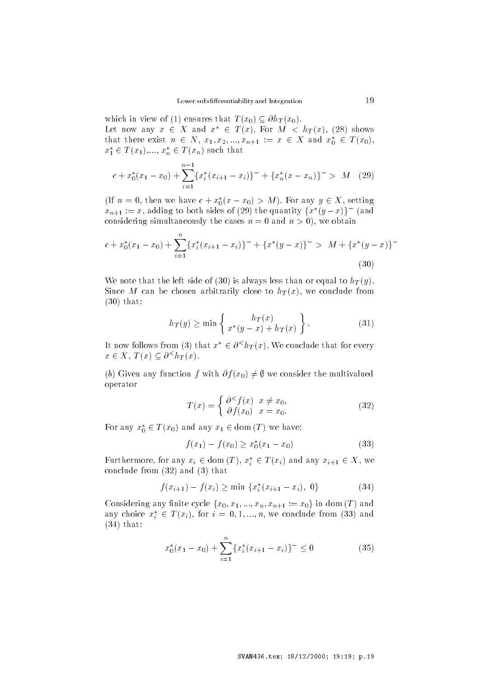which in view of (1) ensures that  $T(x_0) \subseteq \partial h_T(x_0)$ . Let now any  $x \in X$  and  $x^* \in T(x)$ . For  $M < h_T(x)$ , (28) shows that there exist  $n \in N$ ,  $x_1, x_2, ..., x_{n+1} := x \in X$  and  $x_0^* \in T(x_0)$ ,  $x_1^* \in T(x_1),..., x_n^* \in T(x_n)$  such that

$$
c + x_0^*(x_1 - x_0) + \sum_{i=1}^{n-1} \{x_i^*(x_{i+1} - x_i)\}^- + \{x_n^*(x - x_n)\}^- > M \quad (29)
$$

(If  $n = 0$ , then we have  $c + x_0^*(x - x_0) > M$ ). For any  $y \in X$ , setting  $x_{n+1} := x$ , adding to both sides of (29) the quantity  $\{x^*(y-x)\}$  (and considering simultaneously the cases  $n = 0$  and  $n \geq 0$ ), we obtain

$$
c + x_0^*(x_1 - x_0) + \sum_{i=1}^n \{x_i^*(x_{i+1} - x_i)\}^- + \{x^*(y - x)\}^- > M + \{x^*(y - x)\}^-
$$
\n(30)

We note that the left side of (30) is always less than or equal to  $h_T(y)$ . Since M can be chosen arbitrarily close to  $h_T(x)$ , we conclude from  $(30)$  that:

$$
h_T(y) \ge \min\left\{\n \begin{array}{c}\n h_T(x) \\
 x^*(y-x) + h_T(x)\n \end{array}\n \right\}.
$$
\n(31)

It now follows from (3) that  $x^* \in \partial^{\leq} h_T(x)$ . We conclude that for every  $x \in X$ ,  $T(x) \subseteq \partial^{\leq} h_T(x)$ .

(b) Given any function f with  $\partial f(x_0) \neq \emptyset$  we consider the multivalued operator

$$
T(x) = \begin{cases} \frac{\partial^{\leq} f(x)}{\partial f(x_0)} & x = x_0. \\ \end{cases}
$$
 (32)

For any  $x_0^* \in T(x_0)$  and any  $x_1 \in \text{dom}(T)$  we have:

$$
f(x_1) - f(x_0) \ge x_0^*(x_1 - x_0) \tag{33}
$$

Furthermore, for any  $x_i \in \text{dom}(T)$ ,  $x_i^* \in T(x_i)$  and any  $x_{i+1} \in X$ , we conclude from  $(32)$  and  $(3)$  that

$$
f(x_{i+1}) - f(x_i) \ge \min \{x_i^*(x_{i+1} - x_i), 0\} \tag{34}
$$

Considering any finite cycle  $\{x_0, x_1, ..., x_n, x_{n+1} := x_0\}$  in dom (T) and any choice  $x_i^* \in T(x_i)$ , for  $i = 0, 1, ..., n$ , we conclude from (33) and  $(34)$  that:

$$
x_0^*(x_1 - x_0) + \sum_{i=1}^n \{x_i^*(x_{i+1} - x_i)\}^- \le 0
$$
 (35)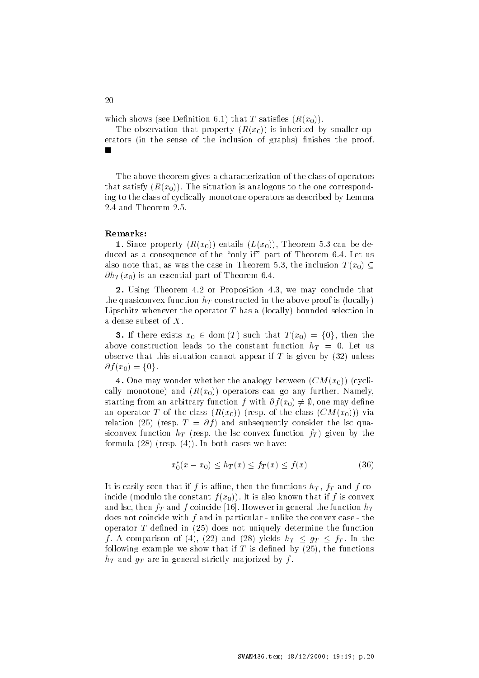which shows (see Denition  $\sigma(\mathbf{r})$  virus T satisfies  $\{\mathbf{r}_i(\omega_i)\}\$ .

The observation that property  $(R(x_0))$  is inherited by smaller operators (in the sense of the inclusion of graphs) finishes the proof.

The above theorem gives a characterization of the class of operators that satisfy  $\{x_0, w_0\}$ ,  $\pm$  ne situation is analogous to the one correspond ing to the class of cyclically monotone operators as described by Lemma

### Remarks

 $\blacksquare$ . Since property  $\{x_0, w_0\}$  entails  $\{x\}$  while  $\blacksquare$  is can be defined as duced as a consequence of the only if  $\mathcal{L}_{\mathcal{A}}$ also note that, as was the case in Theorem 5.3, the inclusion  $T(x_0) \subset$  $\mathcal{L}_{\text{ref}}(x_0)$  is an essential part of Theorem stri

- Using Theorem - or Proposition - we may conclude that the quasiconvex function  $h_T$  constructed in the above proof is (locally) Lipschitz whenever the operator  $T$  has a (locally) bounded selection in a dense subset of  $X$ .

**3.** If there exists  $x_0 \in \text{dom}(T)$  such that  $T(x_0) = \{0\}$ , then the  $\alpha$ bove construction leads to the constant function  $n_1$  , of met us observe that this situation cannot appear if  $T$  is given by  $(32)$  unless  $\partial f(x_0) = \{0\}.$ 

 $\sim$  0.10 may wonder whether the analogy between  $\sim$   $\sim$   $\sim$   $\sim$ cally monotone, and  $\{x_0, w_0\}$  operators can go any further-reducing starting from an arbitrary function f with  $\partial f(x_0) \neq \emptyset$ , one may define an operator  $\pm$  or the class  $\{x_0, x_0, \ldots, x_n\}$  is the class  $\{0, \ldots, 0, \ldots\}$ relation (= 5) (respectively consider the later of the later through the later through the later through the l  $t$  is the languarity of the line for convex function  $f_{II}$  and  $f_{II}$  and  $f_{II}$ for a respectively. In the case we have the cases we have the cases we have  $\mathbf{r} = \mathbf{r} \cdot \mathbf{r}$ 

$$
x_0^*(x - x_0) \le h_T(x) \le f_T(x) \le f(x) \tag{36}
$$

It is easily seen that if f is affine, then the functions  $h_T$ ,  $f_T$  and f coinclus (incurse the constant  $f(x_{i,j})$  is is also hile when  $\mathbf{r}_{j}$  is convex  $\frac{1}{\sqrt{1}}$  and  $\frac{1}{\sqrt{1}}$  and  $\frac{1}{\sqrt{1}}$  coincide  $\frac{1}{\sqrt{1}}$  . The function  $\frac{1}{\sqrt{1}}$ does not coincide with  $f$  and in particular - unlike the convex case - the operator  $T$  defined in  $(25)$  does not uniquely determine the function f. A comparison of (4), (22) and (28) yields  $h_T \leq g_T \leq f_T$ . In the following example we show that if T is defined by  $(25)$ , the functions  $h_T$  and  $g_T$  are in general strictly majorized by f.

20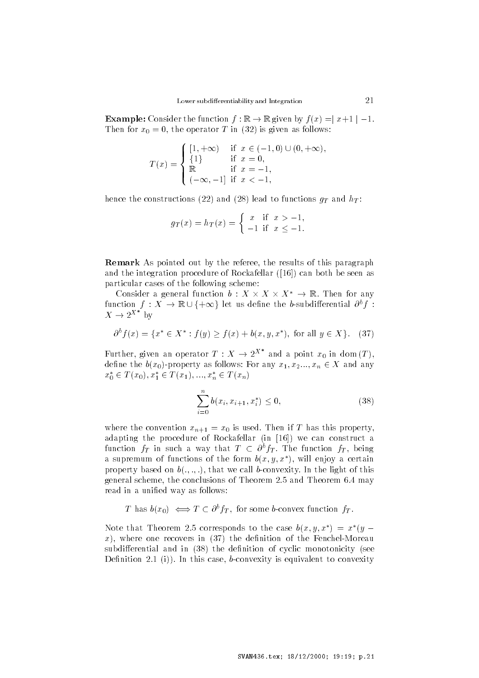Lower subdifferentiability and Integration 21<br> **Example:** Consider the function  $f : \mathbb{R} \to \mathbb{R}$  given by  $f(x) = |x+1| - 1$ .  $\mathbf{r}$  for  $\mathbf{r}$  and  $\mathbf{r}$  is given as follows.

$$
T(x) = \begin{cases} [1, +\infty) & \text{if } x \in (-1, 0) \cup (0, +\infty), \\ \{1\} & \text{if } x = 0, \\ \mathbb{R} & \text{if } x = -1, \\ (-\infty, -1] & \text{if } x < -1, \end{cases}
$$

hence the constructions (22) and (28) lead to functions  $q_T$  and  $h_T$ :

$$
g_T(x) = h_T(x) =
$$
\n
$$
\begin{cases}\nx & \text{if } x > -1, \\
-1 & \text{if } x \le -1.\n\end{cases}
$$

Remark As pointed out by the referee, the results of this paragraph and the integration procedure of Rockafellar  $(16)$  can both be seen as particular cases of the following scheme

Consider a general function  $b: X \times X \times X^* \rightarrow \mathbb{R}$ . Then for any particular cases of the following scheme:<br>Consider a general function  $b : X \times X \times X^* \to \mathbb{R}$ . Then for any<br>function  $f : X \to \mathbb{R} \cup \{+\infty\}$  let us define the b-subdifferential  $\partial^b f$ :  $X \to 2^{X^*}$  by

$$
\partial^b f(x) = \{ x^* \in X^* : f(y) \ge f(x) + b(x, y, x^*), \text{ for all } y \in X \}. \tag{37}
$$

Further, given an operator  $T : X \to 2^{X^*}$  and a point  $x_0$  in dom  $(T)$ , define the  $b(x_0)$ -property as follows: For any  $x_1, x_2, ..., x_n \in X$  and any  $x_0^* \in T(x_0), x_1^* \in T(x_1), ..., x_n^* \in T(x_n)$ 

$$
\sum_{i=0}^{n} b(x_i, x_{i+1}, x_i^*) \le 0,
$$
\n(38)

where the convention  $x_{n+1}$  and  $x_0$  is decay from if  $x$  has this property. adapting the procedure of Rockafellar (in [16]) we can construct a function  $f_T$  in such a way that  $T \,\subset\, \partial^b f_T$ . The function  $f_T$ , being a supremum of functions of the form  $p(x, y, x)$ , will enjoy a certain property based on  $\sigma(\cdot, \cdot, \cdot)$ , that we can beconvexity. In the light of this general scheme the conclusions of Theorem - and Theorem 
- may read in a unified way as follows:

T has  $b(x_0) \iff T \in \partial^b f_T$ , for some b-convex function  $f_T$ .

Note that Theorem 2.5 corresponds to the case  $b(x, y, x^*) = x^*(y - y)$  $x)$ , where one recovers in (37) the definition of the Fenchel-Moreau subdifferential and in  $(38)$  the definition of cyclic monotonicity (see  $D$  chintered  $I$   $\{I\}$  is the case of  $\sigma$  convexity is equivalent to convexity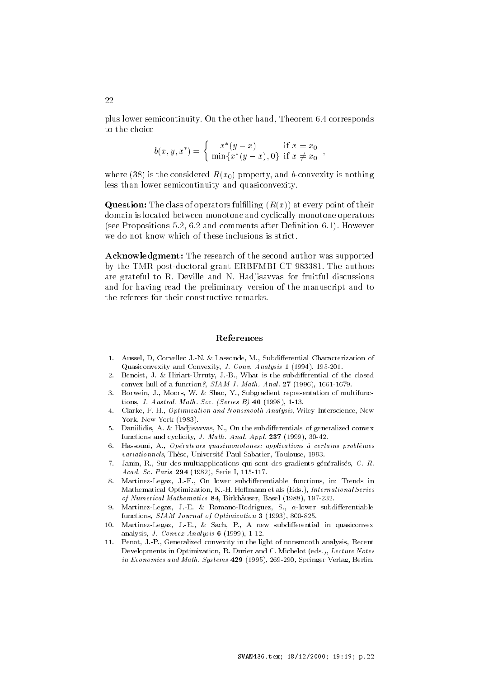plus is a corresponding to the other hand theorem  $\mathcal{C}$  is the other hand  $\mathcal{C}$  and  $\mathcal{C}$ to the choice

$$
b(x, y, x^*) = \begin{cases} x^*(y - x) & \text{if } x = x_0 \\ \min\{x^*(y - x), 0\} & \text{if } x \neq x_0 \end{cases}
$$

where (38) is the considered  $R(x_0)$  property, and b-convexity is nothing less than lower semicontinuity and quasiconvexity-

**Question:** The class of operators fulfilling  $(R(x))$  at every point of their domain is located between monotone and cyclically monotone operators see Propositions - 
- and comments after Denition 
-- However we do not know which of these inclusions is strict.

Acknowledgment: The research of the second author was supported by the TMR postdoctoral grant  $\mathbf{C}$ are grateful to Record and N-Hadison for fruitful discussions for fruitful discussions and for having read the preliminary version of the manuscript and to the referees for their constructive remarks-

### References

- Aussel D Corvellec J N  Lassonde M Subdi erential Characterization of  $\mathcal{A}$  and  $\mathcal{A}$  and  $\mathcal{A}$  and  $\mathcal{A}$  and  $\mathcal{A}$  and  $\mathcal{A}$  and  $\mathcal{A}$  and  $\mathcal{A}$
- $\mathbf H$  . The subdivision  $\mathbf H$  is the subdivision of the subdivision of the subdivision of the closed  $\mathbf H$ convex hull of a function SIAM J Math Anal - -- -
- 3. Borwein, J., Moors, W. & Shao, Y., Subgradient representation of multifunctions J Austral Math Soc Series B - - -
- 4. Clarke, F. H., Optimization and Nonsmooth Analysis, Wiley Interscience, New York New York 
-
- . Danimilian, ee erentials and subdivisation and the method convex and generalized convex and for any cyclicity  $\mathbf{F}(\mathbf{F})$  and  $\mathbf{F}(\mathbf{F})$  and  $\mathbf{F}(\mathbf{F})$  and  $\mathbf{F}(\mathbf{F})$  and  $\mathbf{F}(\mathbf{F})$  and  $\mathbf{F}(\mathbf{F})$  and  $\mathbf{F}(\mathbf{F})$  and  $\mathbf{F}(\mathbf{F})$  and  $\mathbf{F}(\mathbf{F})$  and  $\mathbf{F}(\mathbf{F})$  and  $\mathbf{F}(\mathbf{F})$
- Hassouni A Op erateurs quasimonotones applications a certains problemes variationnels These Universites These University Paul Sabatier Toulouse - Toulouse - Toulouse - Toulouse - Tou
- $7.$ Janin, R., Sur des multiapplications qui sont des gradients généralisés, C. R. acado a cada serie I - Serie I - Serie I - Serie I - Serie I - Serie I - Serie I - Serie I - Serie I - Serie I
- martinezh ar gant de en la dan de ablez den en den en deze de en de en la de la de Mathematical Optimization K H Ho mann et als 
Eds International Series of a military component mathematics and mathematical mathematics of the second mathematics of the second math
- martinezh e angloù ar er en ennenn a romanoglouin, e an envez e ennenn an e functions SIAM Journal of Optimizations SIAM Journal of Optimization of Optimization of Optimization of Optimi
- $10.$ martinez de la contradición de la contradición de la contradición de la contradición de la contradición de la c analysis J Convex Analysis  - - -
- Penot, J.-P., Generalized convexity in the light of nonsmooth analysis, Recent  $11.$ Developments in Optimization, R. Durier and C. Michelot (eds.), Lecture Notes in Economics and Mathematics and Systems (Second) and Secondary Verlag Berlines and Systems and Systems and Systems and Systems and Systems and Systems and Systems and Systems and Systems and Systems and Systems and System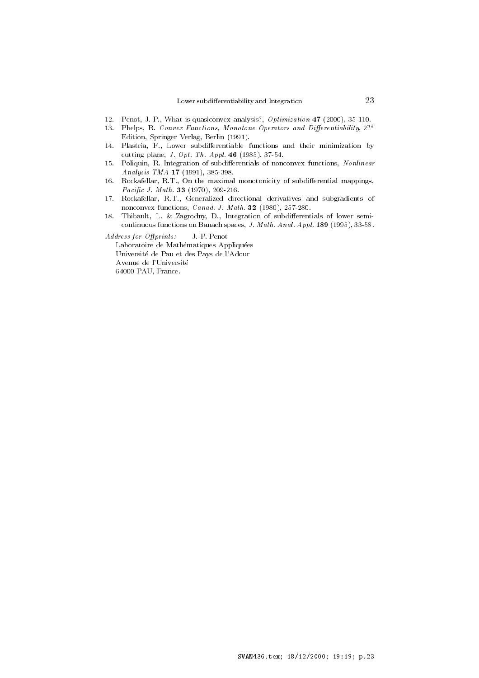- Penot J P What is quasiconvex analysis Optimization --
- 13. Phelps, K. Convex Functions, Monotone Operators and Differentiability, 2000 en en en dit is die springer van die gewone was die springer van die springer van die springer van die springe
- Plastria F Lower subdi erentiable functions and their minimization by cutting plane in the state of the contract of the contract of the contract of the contract of the contract of the contract of the contract of the contract of the contract of the contract of the contract of the contract of
- Poliquin R Integration of subdi erentials of nonconvex functions Nonlinear Analysis TMA --
- Rockafellar RT On the maximal monotonicity of subdi erential mappings Pacic J Math - -
- Rockafellar RT Generalized directional derivatives and subgradients of nonconvex functions Canad J Math -
- 18. Thibault L  Zagrodny D Integration of subdi erentials of lower semi continuous functions  $\mathbf{r}$  and  $\mathbf{r}$  and  $\mathbf{r}$  and  $\mathbf{r}$  and  $\mathbf{r}$
- Address for Offprints: J.-P. Penot Laboratoire de Mathématiques Appliquées Université de Pau et des Pays de l'Adour Avenue de l'Université 64000 PAU, France.